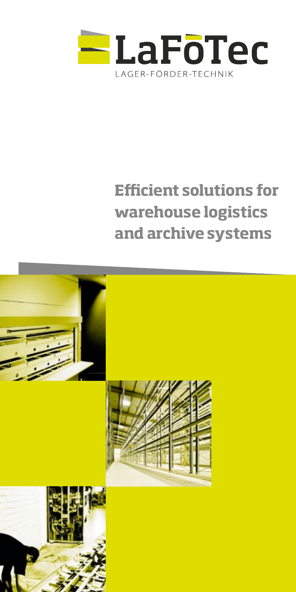

# **Efficient solutions for warehouse logistics and archive systems**

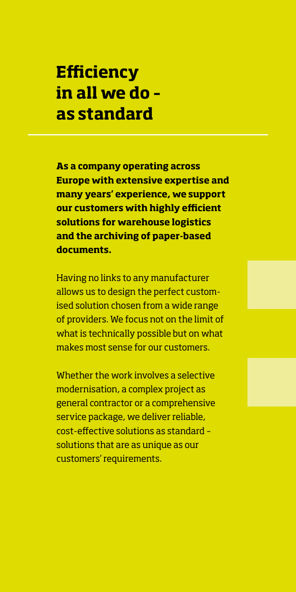## **Efficiency in all we do – as standard**

**As a company operating across Europe with extensive expertise and many years' experience, we support our customers with highly efficient solutions for warehouse logistics and the archiving of paper-based documents.**

Having no links to any manufacturer allows us to design the perfect customised solution chosen from a wide range of providers. We focus not on the limit of what is technically possible but on what makes most sense for our customers.

Whether the work involves a selective modernisation, a complex project as general contractor or a comprehensive service package, we deliver reliable, cost-effective solutions as standard – solutions that are as unique as our customers' requirements.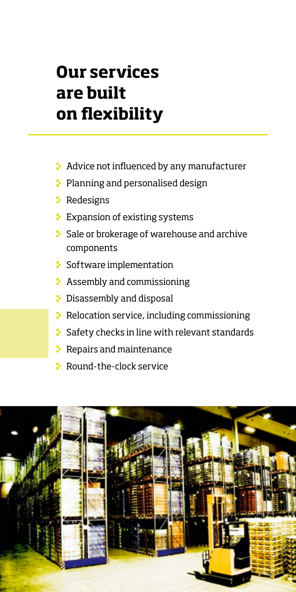# **Our services are built on flexibility**

- **A** Advice not influenced by any manufacturer
- Planning and personalised design
- **Redesigns**
- $\blacktriangleright$  Expansion of existing systems
- **E** Sale or brokerage of warehouse and archive components
- **B** Software implementation
- $\blacktriangleright$  Assembly and commissioning
- **Disassembly and disposal**
- **P** Relocation service, including commissioning
- $\blacktriangleright$  Safety checks in line with relevant standards
- $\vdash$  Repairs and maintenance
- **E** Round-the-clock service

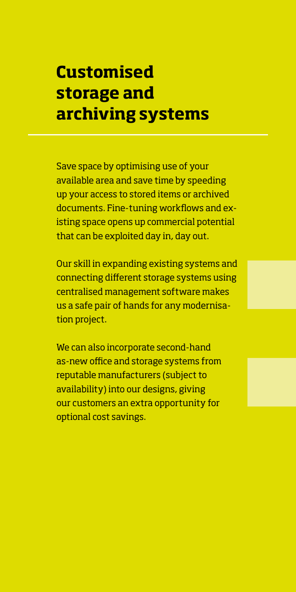## **Customised storage and archiving systems**

Save space by optimising use of your available area and save time by speeding up your access to stored items or archived documents. Fine-tuning workflows and existing space opens up commercial potential that can be exploited day in, day out.

Our skill in expanding existing systems and connecting different storage systems using centralised management software makes us a safe pair of hands for any modernisation project.

We can also incorporate second-hand as-new office and storage systems from reputable manufacturers (subject to availability) into our designs, giving our customers an extra opportunity for optional cost savings.

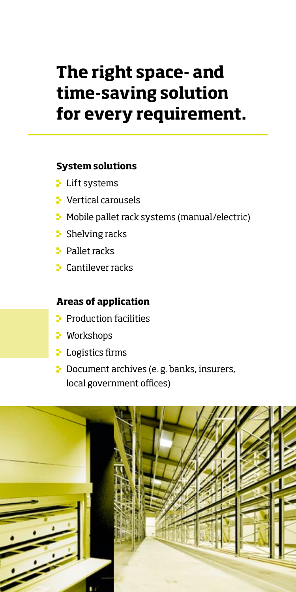# **The right space- and time-saving solution for every requirement.**

#### **System solutions**

- **Lift systems**
- **Vertical carousels**
- **•** Mobile pallet rack systems (manual/electric)
- $\blacktriangleright$  Shelving racks
- **Pallet racks**
- **E** Cantilever racks

#### **Areas of application**

- **Production facilities**
- **Workshops**
- **Logistics firms**
- **Document archives (e.g. banks, insurers,** local government offices)

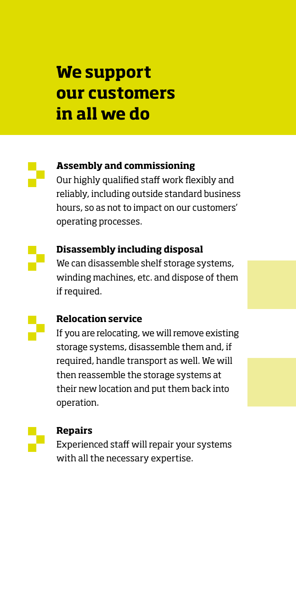### **We support our customers in all we do**



#### **Assembly and commissioning**

Our highly qualified staff work flexibly and reliably, including outside standard business hours, so as not to impact on our customers' operating processes.



#### **Disassembly including disposal**

We can disassemble shelf storage systems, winding machines, etc. and dispose of them if required.

#### **Relocation service**

If you are relocating, we will remove existing storage systems, disassemble them and, if required, handle transport as well. We will then reassemble the storage systems at their new location and put them back into operation.



#### **Repairs**

Experienced staff will repair your systems with all the necessary expertise.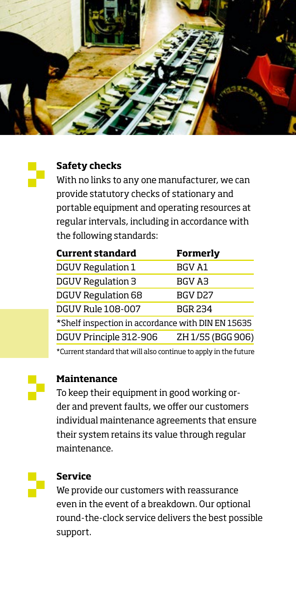

### **Safety checks**

With no links to any one manufacturer, we can provide statutory checks of stationary and portable equipment and operating resources at regular intervals, including in accordance with the following standards:

| <b>Current standard</b>                           | <b>Formerly</b>   |
|---------------------------------------------------|-------------------|
| DGUV Regulation 1                                 | <b>BGV A1</b>     |
| <b>DGUV Regulation 3</b>                          | BGV A3            |
| <b>DGUV Regulation 68</b>                         | BGV D27           |
| <b>DGUV Rule 108-007</b>                          | <b>BGR 234</b>    |
| *Shelf inspection in accordance with DIN EN 15635 |                   |
| DGUV Principle 312-906                            | ZH 1/55 (BGG 906) |

\*Current standard that will also continue to apply in the future



#### **Maintenance**

To keep their equipment in good working order and prevent faults, we offer our customers individual maintenance agreements that ensure their system retains its value through regular maintenance.



#### **Service**

We provide our customers with reassurance even in the event of a breakdown. Our optional round-the-clock service delivers the best possible support.